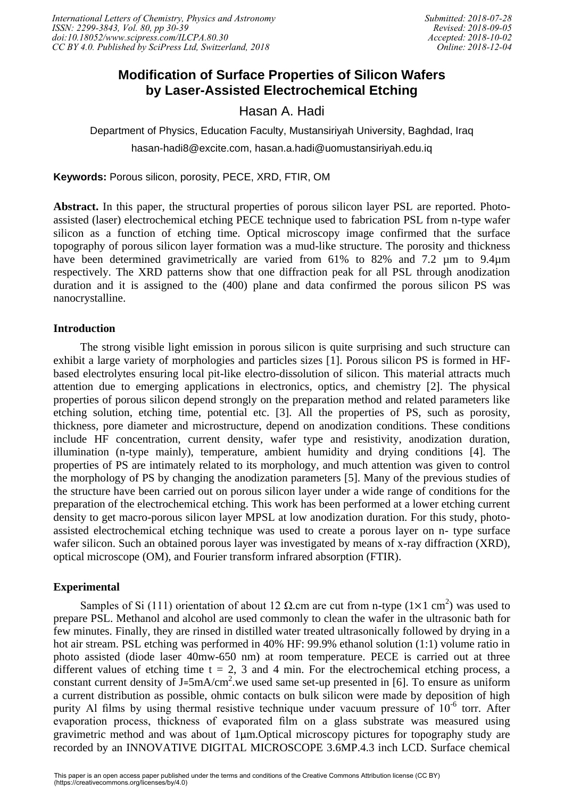# **Modification of Surface Properties of Silicon Wafers by Laser-Assisted Electrochemical Etching**

Hasan A. Hadi

Department of Physics, Education Faculty, Mustansiriyah University, Baghdad, Iraq hasan-hadi8@excite.com, hasan.a.hadi@uomustansiriyah.edu.iq

**Keywords:** Porous silicon, porosity, PECE, XRD, FTIR, OM

**Abstract.** In this paper, the structural properties of porous silicon layer PSL are reported. Photoassisted (laser) electrochemical etching PECE technique used to fabrication PSL from n-type wafer silicon as a function of etching time. Optical microscopy image confirmed that the surface topography of porous silicon layer formation was a mud-like structure. The porosity and thickness have been determined gravimetrically are varied from 61% to 82% and 7.2 µm to 9.4µm respectively. The XRD patterns show that one diffraction peak for all PSL through anodization duration and it is assigned to the (400) plane and data confirmed the porous silicon PS was nanocrystalline.

# **Introduction**

The strong visible light emission in porous silicon is quite surprising and such structure can exhibit a large variety of morphologies and particles sizes [1]. Porous silicon PS is formed in HFbased electrolytes ensuring local pit-like electro-dissolution of silicon. This material attracts much attention due to emerging applications in electronics, optics, and chemistry [2]. The physical properties of porous silicon depend strongly on the preparation method and related parameters like etching solution, etching time, potential etc. [3]. All the properties of PS, such as porosity, thickness, pore diameter and microstructure, depend on anodization conditions. These conditions include HF concentration, current density, wafer type and resistivity, anodization duration, illumination (n-type mainly), temperature, ambient humidity and drying conditions [4]. The properties of PS are intimately related to its morphology, and much attention was given to control the morphology of PS by changing the anodization parameters [5]. Many of the previous studies of the structure have been carried out on porous silicon layer under a wide range of conditions for the preparation of the electrochemical etching. This work has been performed at a lower etching current density to get macro-porous silicon layer MPSL at low anodization duration. For this study, photoassisted electrochemical etching technique was used to create a porous layer on n- type surface wafer silicon. Such an obtained porous layer was investigated by means of x-ray diffraction (XRD), optical microscope (OM), and Fourier transform infrared absorption (FTIR).

# **Experimental**

Samples of Si (111) orientation of about 12  $\Omega$  cm are cut from n-type (1×1 cm<sup>2</sup>) was used to prepare PSL. Methanol and alcohol are used commonly to clean the wafer in the ultrasonic bath for few minutes. Finally, they are rinsed in distilled water treated ultrasonically followed by drying in a hot air stream. PSL etching was performed in 40% HF: 99.9% ethanol solution (1:1) volume ratio in photo assisted (diode laser 40mw-650 nm) at room temperature. PECE is carried out at three different values of etching time  $t = 2$ , 3 and 4 min. For the electrochemical etching process, a constant current density of  $J=5mA/cm^2$  we used same set-up presented in [6]. To ensure as uniform a current distribution as possible, ohmic contacts on bulk silicon were made by deposition of high purity Al films by using thermal resistive technique under vacuum pressure of  $10^{-6}$  torr. After evaporation process, thickness of evaporated film on a glass substrate was measured using gravimetric method and was about of 1μm.Optical microscopy pictures for topography study are recorded by an INNOVATIVE DIGITAL MICROSCOPE 3.6MP.4.3 inch LCD. Surface chemical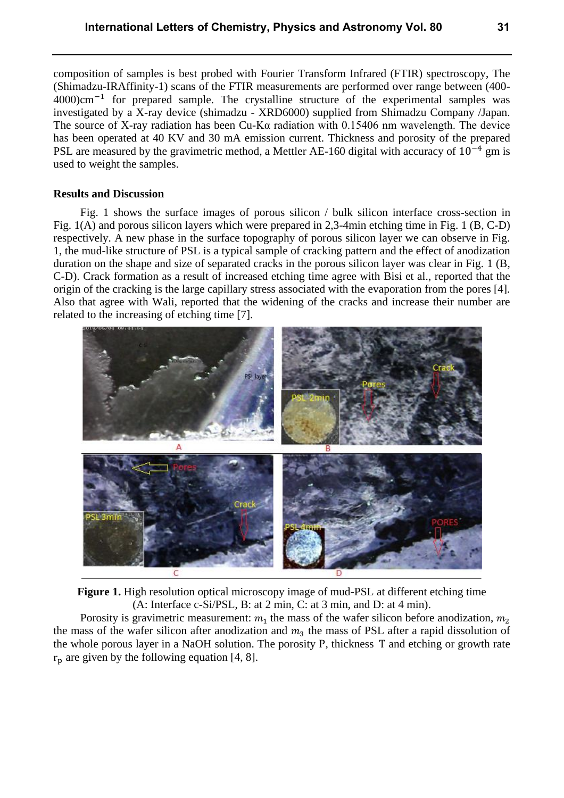composition of samples is best probed with Fourier Transform Infrared (FTIR) spectroscopy, The (Shimadzu-IRAffinity-1) scans of the FTIR measurements are performed over range between (400- 4000)cm−1 for prepared sample. The crystalline structure of the experimental samples was investigated by a X-ray device (shimadzu - XRD6000) supplied from Shimadzu Company /Japan. The source of X-ray radiation has been Cu-Kα radiation with 0.15406 nm wavelength. The device has been operated at 40 KV and 30 mA emission current. Thickness and porosity of the prepared PSL are measured by the gravimetric method, a Mettler AE-160 digital with accuracy of 10<sup>-4</sup> gm is used to weight the samples.

#### **Results and Discussion**

Fig. 1 shows the surface images of porous silicon / bulk silicon interface cross-section in Fig. 1(A) and porous silicon layers which were prepared in 2,3-4min etching time in Fig. 1 (B, C-D) respectively. A new phase in the surface topography of porous silicon layer we can observe in Fig. 1, the mud-like structure of PSL is a typical sample of cracking pattern and the effect of anodization duration on the shape and size of separated cracks in the porous silicon layer was clear in Fig. 1 (B, C-D). Crack formation as a result of increased etching time agree with Bisi et al., reported that the origin of the cracking is the large capillary stress associated with the evaporation from the pores [4]. Also that agree with Wali, reported that the widening of the cracks and increase their number are related to the increasing of etching time [7].



**Figure 1.** High resolution optical microscopy image of mud-PSL at different etching time (A: Interface c-Si/PSL, B: at 2 min, C: at 3 min, and D: at 4 min).

Porosity is gravimetric measurement:  $m_1$  the mass of the wafer silicon before anodization,  $m_2$ the mass of the wafer silicon after anodization and  $m_3$  the mass of PSL after a rapid dissolution of the whole porous layer in a NaOH solution. The porosity P, thickness T and etching or growth rate  $r_p$  are given by the following equation [4, 8].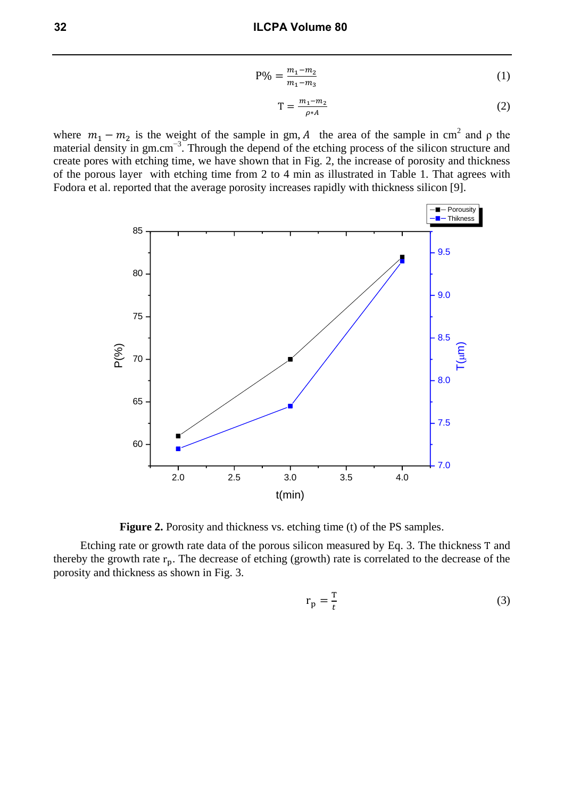$$
P\% = \frac{m_1 - m_2}{m_1 - m_3} \tag{1}
$$

$$
T = \frac{m_1 - m_2}{\rho * A} \tag{2}
$$

where  $m_1 - m_2$  is the weight of the sample in gm, A the area of the sample in cm<sup>2</sup> and  $\rho$  the material density in gm.cm<sup>-3</sup>. Through the depend of the etching process of the silicon structure and create pores with etching time, we have shown that in Fig. 2, the increase of porosity and thickness of the porous layer with etching time from 2 to 4 min as illustrated in Table 1. That agrees with Fodora et al. reported that the average porosity increases rapidly with thickness silicon [9].



**Figure 2.** Porosity and thickness vs. etching time (t) of the PS samples.

Etching rate or growth rate data of the porous silicon measured by Eq. 3. The thickness T and thereby the growth rate  $r_p$ . The decrease of etching (growth) rate is correlated to the decrease of the porosity and thickness as shown in Fig. 3.

$$
r_p = \frac{r}{t} \tag{3}
$$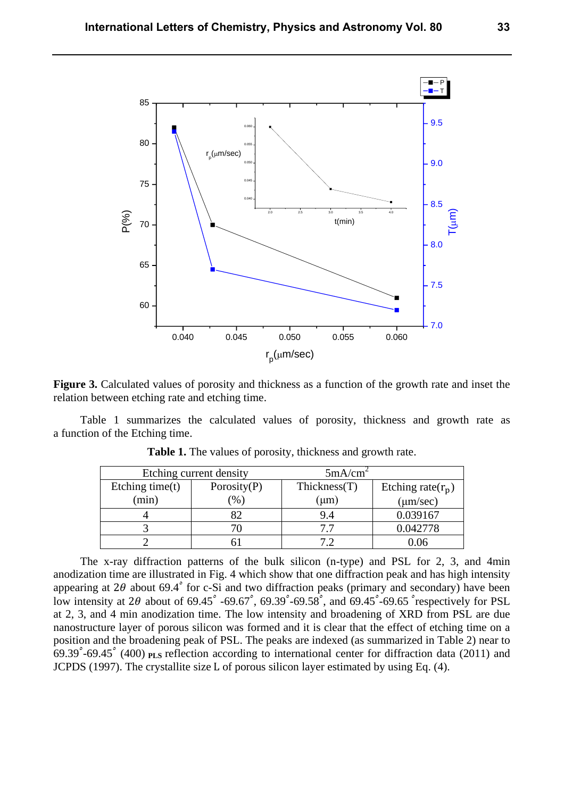

**Figure 3.** Calculated values of porosity and thickness as a function of the growth rate and inset the relation between etching rate and etching time.

Table 1 summarizes the calculated values of porosity, thickness and growth rate as a function of the Etching time.

| Etching current density |                | 5mA/cm <sup>2</sup> |                      |
|-------------------------|----------------|---------------------|----------------------|
| Etching time $(t)$      | Porosity $(P)$ | Thickness(T)        | Etching rate $(r_p)$ |
| (min)                   | $\frac{1}{2}$  | $(\mu m)$           | $(\mu m/sec)$        |
|                         |                | 9.4                 | 0.039167             |
|                         |                | 77                  | 0.042778             |
|                         |                |                     | ).06                 |

**Table 1.** The values of porosity, thickness and growth rate.

The x-ray diffraction patterns of the bulk silicon (n-type) and PSL for 2, 3, and 4min anodization time are illustrated in Fig. 4 which show that one diffraction peak and has high intensity appearing at 2 $\theta$  about 69.4° for c-Si and two diffraction peaks (primary and secondary) have been low intensity at 2 $\theta$  about of 69.45° -69.67°, 69.39° -69.58°, and 69.45° -69.65° respectively for PSL at 2, 3, and 4 min anodization time. The low intensity and broadening of XRD from PSL are due nanostructure layer of porous silicon was formed and it is clear that the effect of etching time on a position and the broadening peak of PSL. The peaks are indexed (as summarized in Table 2) near to 69.39°-69.45° (400) **PLS** reflection according to international center for diffraction data (2011) and JCPDS (1997). The crystallite size L of porous silicon layer estimated by using Eq. (4).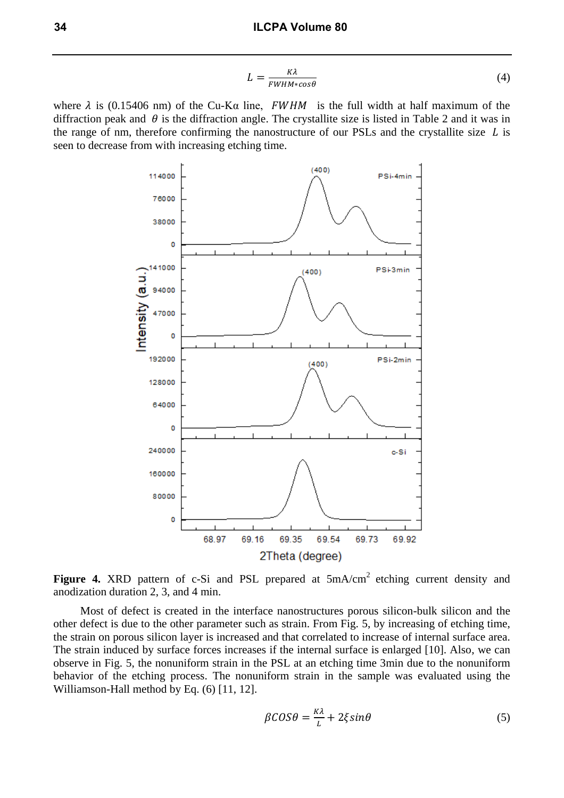$$
L = \frac{\kappa \lambda}{FWHM \cdot \cos \theta} \tag{4}
$$

where  $\lambda$  is (0.15406 nm) of the Cu-K $\alpha$  line, FWHM is the full width at half maximum of the diffraction peak and  $\theta$  is the diffraction angle. The crystallite size is listed in Table 2 and it was in the range of nm, therefore confirming the nanostructure of our PSLs and the crystallite size  $L$  is seen to decrease from with increasing etching time.



Figure 4. XRD pattern of c-Si and PSL prepared at  $5mA/cm<sup>2</sup>$  etching current density and anodization duration 2, 3, and 4 min.

Most of defect is created in the interface nanostructures porous silicon-bulk silicon and the other defect is due to the other parameter such as strain. From Fig. 5, by increasing of etching time, the strain on porous silicon layer is increased and that correlated to increase of internal surface area. The strain induced by surface forces increases if the internal surface is enlarged [10]. Also, we can observe in Fig. 5, the nonuniform strain in the PSL at an etching time 3min due to the nonuniform behavior of the etching process. The nonuniform strain in the sample was evaluated using the Williamson-Hall method by Eq. (6) [11, 12].

$$
\beta \mathcal{C} \mathcal{O} \mathcal{S} \theta = \frac{\kappa \lambda}{L} + 2\xi \sin \theta \tag{5}
$$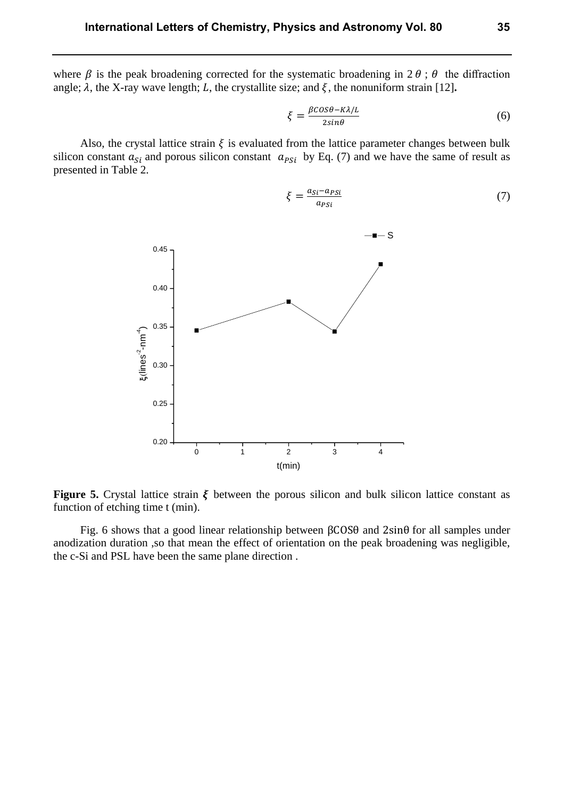where  $\beta$  is the peak broadening corrected for the systematic broadening in 2  $\theta$ ;  $\theta$  the diffraction angle;  $\lambda$ , the X-ray wave length; L, the crystallite size; and  $\xi$ , the nonuniform strain [12].

$$
\xi = \frac{\beta \cos \theta - \kappa \lambda / L}{2 \sin \theta} \tag{6}
$$

Also, the crystal lattice strain  $\xi$  is evaluated from the lattice parameter changes between bulk silicon constant  $a_{si}$  and porous silicon constant  $a_{psi}$  by Eq. (7) and we have the same of result as presented in Table 2.



$$
\xi = \frac{a_{Si} - a_{PSi}}{a_{PSi}}\tag{7}
$$

**Figure 5.** Crystal lattice strain  $\xi$  between the porous silicon and bulk silicon lattice constant as function of etching time t (min).

Fig. 6 shows that a good linear relationship between βCOSθ and 2sinθ for all samples under anodization duration ,so that mean the effect of orientation on the peak broadening was negligible, the c-Si and PSL have been the same plane direction .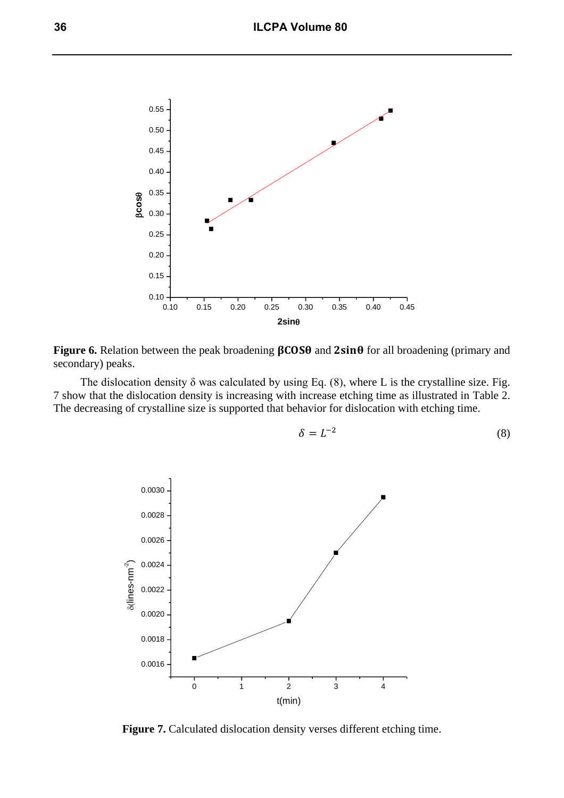

**Figure 6.** Relation between the peak broadening  $\beta$ COS $\theta$  and  $2\sin\theta$  for all broadening (primary and secondary) peaks.

The dislocation density  $\delta$  was calculated by using Eq. (8), where L is the crystalline size. Fig. 7 show that the dislocation density is increasing with increase etching time as illustrated in Table 2. The decreasing of crystalline size is supported that behavior for dislocation with etching time.

$$
\delta = L^{-2} \tag{8}
$$



**Figure 7.** Calculated dislocation density verses different etching time.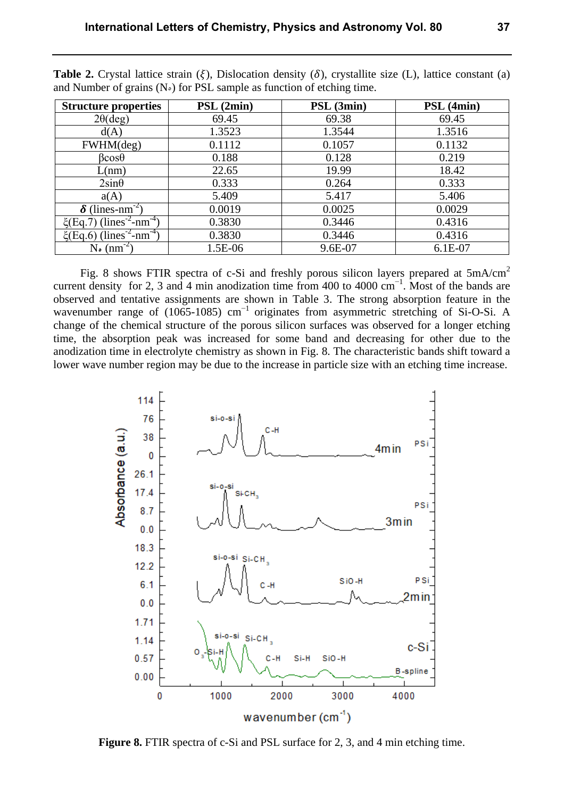| <b>Structure properties</b>                           | PSL (2min) | PSL (3min) | PSL (4min) |
|-------------------------------------------------------|------------|------------|------------|
| $2\theta(\text{deg})$                                 | 69.45      | 69.38      | 69.45      |
| d(A)                                                  | 1.3523     | 1.3544     | 1.3516     |
| FWHM(deg)                                             | 0.1112     | 0.1057     | 0.1132     |
| $\beta cos\theta$                                     | 0.188      | 0.128      | 0.219      |
| L(nm)                                                 | 22.65      | 19.99      | 18.42      |
| $2\sin\theta$                                         | 0.333      | 0.264      | 0.333      |
| a(A)                                                  | 5.409      | 5.417      | 5.406      |
| $\delta$ (lines-nm <sup>-2)</sup>                     | 0.0019     | 0.0025     | 0.0029     |
| $\xi$ (Eq.7) (lines <sup>-2</sup> -nm <sup>-4</sup> ) | 0.3830     | 0.3446     | 0.4316     |
| $\xi$ (Eq.6) (lines <sup>-2</sup> -nm <sup>-4</sup> ) | 0.3830     | 0.3446     | 0.4316     |
| $N_{\bullet}$ (nm <sup>-2</sup> )                     | 1.5E-06    | 9.6E-07    | 6.1E-07    |

**Table 2.** Crystal lattice strain  $(\xi)$ , Dislocation density  $(\delta)$ , crystallite size  $(L)$ , lattice constant (a) and Number of grains  $(N<sub>o</sub>)$  for PSL sample as function of etching time.

Fig. 8 shows FTIR spectra of c-Si and freshly porous silicon layers prepared at  $5mA/cm<sup>2</sup>$ current density for 2, 3 and 4 min anodization time from 400 to 4000  $cm^{-1}$ . Most of the bands are observed and tentative assignments are shown in Table 3. The strong absorption feature in the wavenumber range of (1065-1085) cm<sup>-1</sup> originates from asymmetric stretching of Si-O-Si. A change of the chemical structure of the porous silicon surfaces was observed for a longer etching time, the absorption peak was increased for some band and decreasing for other due to the anodization time in electrolyte chemistry as shown in Fig. 8. The characteristic bands shift toward a lower wave number region may be due to the increase in particle size with an etching time increase.



**Figure 8.** FTIR spectra of c-Si and PSL surface for 2, 3, and 4 min etching time.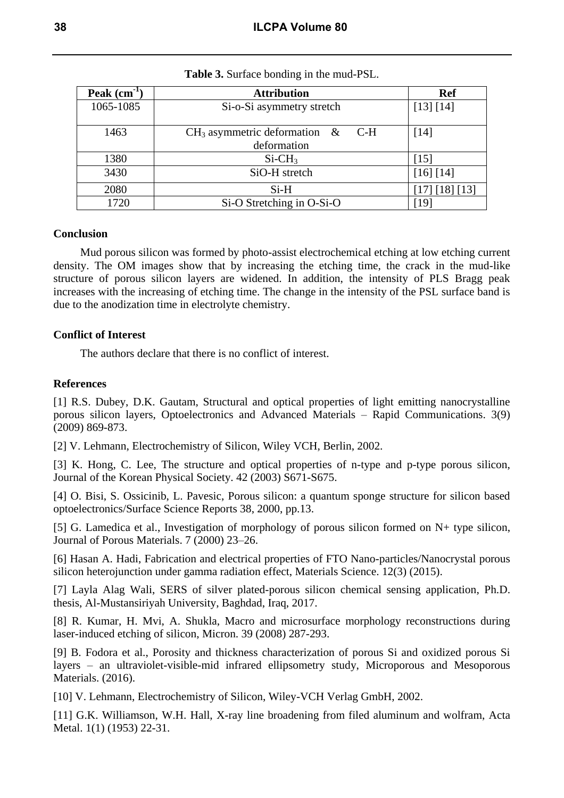| Peak $(cm-1)$ | <b>Attribution</b>                                    | <b>Ref</b>     |
|---------------|-------------------------------------------------------|----------------|
| 1065-1085     | Si-o-Si asymmetry stretch                             | [13] [14]      |
| 1463          | $CH_3$ asymmetric deformation &<br>C-H<br>deformation | [14]           |
| 1380          | $Si-CH3$                                              | [15]           |
| 3430          | SiO-H stretch                                         | [16] [14]      |
| 2080          | $Si-H$                                                | [17] [18] [13] |
| 1720          | Si-O Stretching in O-Si-O                             | [19]           |

#### **Table 3.** Surface bonding in the mud-PSL.

## **Conclusion**

Mud porous silicon was formed by photo-assist electrochemical etching at low etching current density. The OM images show that by increasing the etching time, the crack in the mud-like structure of porous silicon layers are widened. In addition, the intensity of PLS Bragg peak increases with the increasing of etching time. The change in the intensity of the PSL surface band is due to the anodization time in electrolyte chemistry.

## **Conflict of Interest**

The authors declare that there is no conflict of interest.

## **References**

[1] R.S. Dubey, D.K. Gautam, Structural and optical properties of light emitting nanocrystalline porous silicon layers, Optoelectronics and Advanced Materials – Rapid Communications. 3(9) (2009) 869-873.

[2] V. Lehmann, Electrochemistry of Silicon, Wiley VCH, Berlin, 2002.

[3] K. Hong, C. Lee, The structure and optical properties of n-type and p-type porous silicon, Journal of the Korean Physical Society. 42 (2003) S671-S675.

[4] O. Bisi, S. Ossicinib, L. Pavesic, Porous silicon: a quantum sponge structure for silicon based optoelectronics/Surface Science Reports 38, 2000, pp.13.

[5] G. Lamedica et al., Investigation of morphology of porous silicon formed on N+ type silicon, Journal of Porous Materials. 7 (2000) 23–26.

[6] Hasan A. Hadi, Fabrication and electrical properties of FTO Nano-particles/Nanocrystal porous silicon heterojunction under gamma radiation effect, Materials Science. 12(3) (2015).

[7] Layla Alag Wali, SERS of silver plated-porous silicon chemical sensing application, Ph.D. thesis, Al-Mustansiriyah University, Baghdad, Iraq, 2017.

[8] R. Kumar, H. Mvi, A. Shukla, Macro and microsurface morphology reconstructions during laser-induced etching of silicon, Micron. 39 (2008) 287-293.

[9] B. Fodora et al., Porosity and thickness characterization of porous Si and oxidized porous Si layers – an ultraviolet-visible-mid infrared ellipsometry study, Microporous and Mesoporous Materials. (2016).

[10] V. Lehmann, Electrochemistry of Silicon, Wiley-VCH Verlag GmbH, 2002.

[11] G.K. Williamson, W.H. Hall, X-ray line broadening from filed aluminum and wolfram, Acta Metal. 1(1) (1953) 22-31.